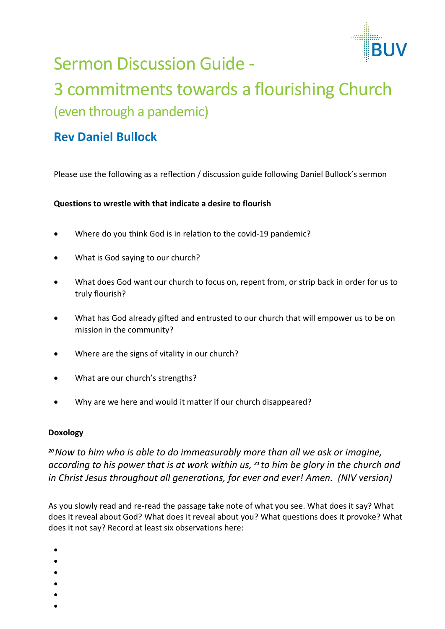

# Sermon Discussion Guide -

# 3 commitments towards a flourishing Church (even through a pandemic)

## **Rev Daniel Bullock**

Please use the following as a reflection / discussion guide following Daniel Bullock's sermon

#### **Questions to wrestle with that indicate a desire to flourish**

- Where do you think God is in relation to the covid-19 pandemic?
- What is God saying to our church?
- What does God want our church to focus on, repent from, or strip back in order for us to truly flourish?
- What has God already gifted and entrusted to our church that will empower us to be on mission in the community?
- Where are the signs of vitality in our church?
- What are our church's strengths?
- Why are we here and would it matter if our church disappeared?

#### **Doxology**

*<sup>20</sup>Now to him who is able to do immeasurably more than all we ask or imagine, according to his power that is at work within us, <sup>21</sup> to him be glory in the church and in Christ Jesus throughout all generations, for ever and ever! Amen. (NIV version)*

As you slowly read and re-read the passage take note of what you see. What does it say? What does it reveal about God? What does it reveal about you? What questions does it provoke? What does it not say? Record at least six observations here:

- •
- •
- 
- •
- •
- •
- •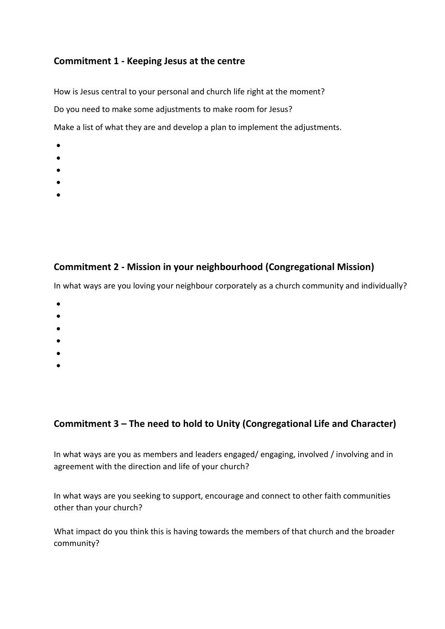### **Commitment 1 - Keeping Jesus at the centre**

How is Jesus central to your personal and church life right at the moment? Do you need to make some adjustments to make room for Jesus? Make a list of what they are and develop a plan to implement the adjustments.

- •
- •
- 
- •
- •
- •

### **Commitment 2 - Mission in your neighbourhood (Congregational Mission)**

In what ways are you loving your neighbour corporately as a church community and individually?

- •
- •
- •
- •
- •
- •

### **Commitment 3 – The need to hold to Unity (Congregational Life and Character)**

In what ways are you as members and leaders engaged/ engaging, involved / involving and in agreement with the direction and life of your church?

In what ways are you seeking to support, encourage and connect to other faith communities other than your church?

What impact do you think this is having towards the members of that church and the broader community?